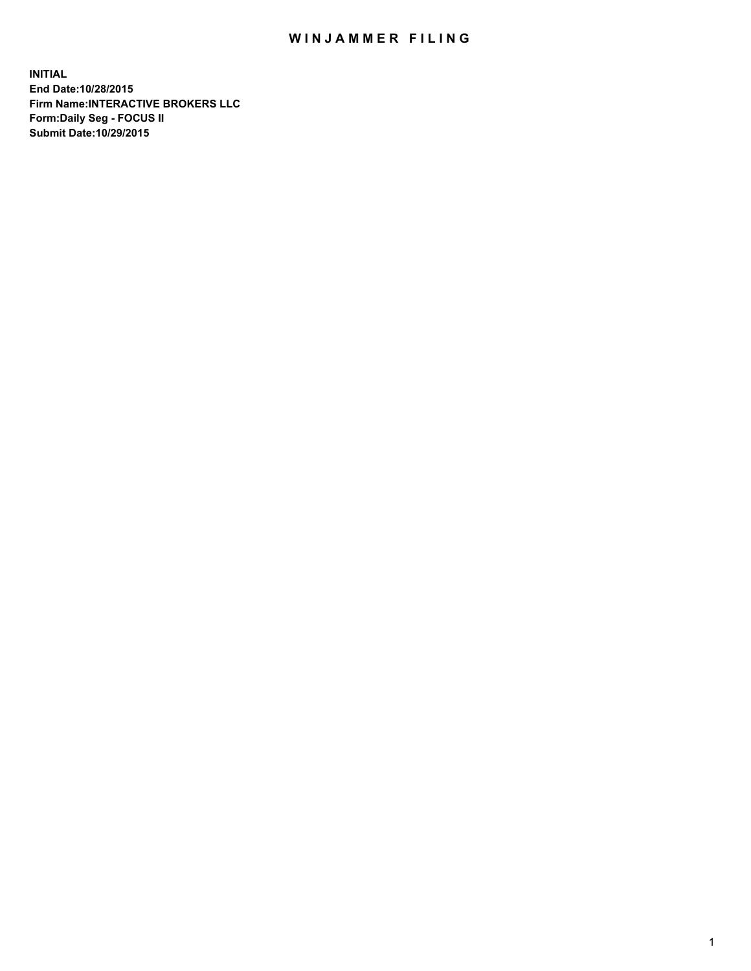## WIN JAMMER FILING

**INITIAL End Date:10/28/2015 Firm Name:INTERACTIVE BROKERS LLC Form:Daily Seg - FOCUS II Submit Date:10/29/2015**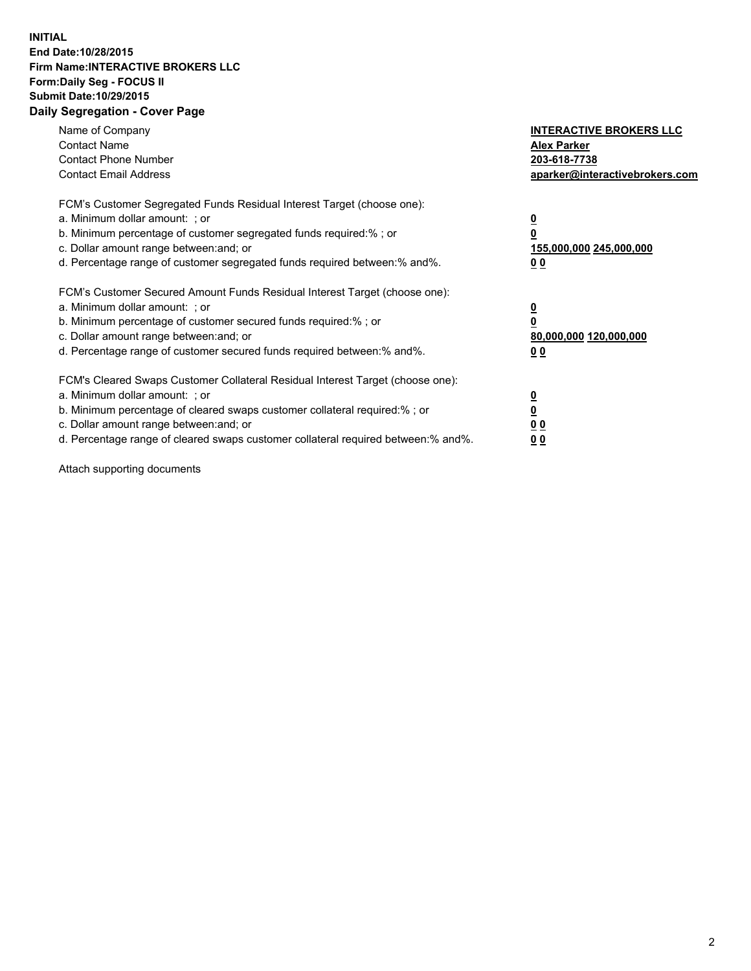## **INITIAL End Date:10/28/2015 Firm Name:INTERACTIVE BROKERS LLC Form:Daily Seg - FOCUS II Submit Date:10/29/2015 Daily Segregation - Cover Page**

| Name of Company<br><b>Contact Name</b><br><b>Contact Phone Number</b><br><b>Contact Email Address</b>                                                                                                                                                                                                                          | <b>INTERACTIVE BROKERS LLC</b><br><b>Alex Parker</b><br>203-618-7738<br>aparker@interactivebrokers.com |
|--------------------------------------------------------------------------------------------------------------------------------------------------------------------------------------------------------------------------------------------------------------------------------------------------------------------------------|--------------------------------------------------------------------------------------------------------|
| FCM's Customer Segregated Funds Residual Interest Target (choose one):<br>a. Minimum dollar amount: ; or<br>b. Minimum percentage of customer segregated funds required:% ; or<br>c. Dollar amount range between: and; or<br>d. Percentage range of customer segregated funds required between:% and%.                         | <u>0</u><br><u>155,000,000 245,000,000</u><br>00                                                       |
| FCM's Customer Secured Amount Funds Residual Interest Target (choose one):<br>a. Minimum dollar amount: ; or<br>b. Minimum percentage of customer secured funds required:%; or<br>c. Dollar amount range between: and; or<br>d. Percentage range of customer secured funds required between: % and %.                          | <u>0</u><br>80,000,000 120,000,000<br>0 <sub>0</sub>                                                   |
| FCM's Cleared Swaps Customer Collateral Residual Interest Target (choose one):<br>a. Minimum dollar amount: ; or<br>b. Minimum percentage of cleared swaps customer collateral required:% ; or<br>c. Dollar amount range between: and; or<br>d. Percentage range of cleared swaps customer collateral required between:% and%. | <u>0</u><br>0 <sub>0</sub><br><u>0 0</u>                                                               |

Attach supporting documents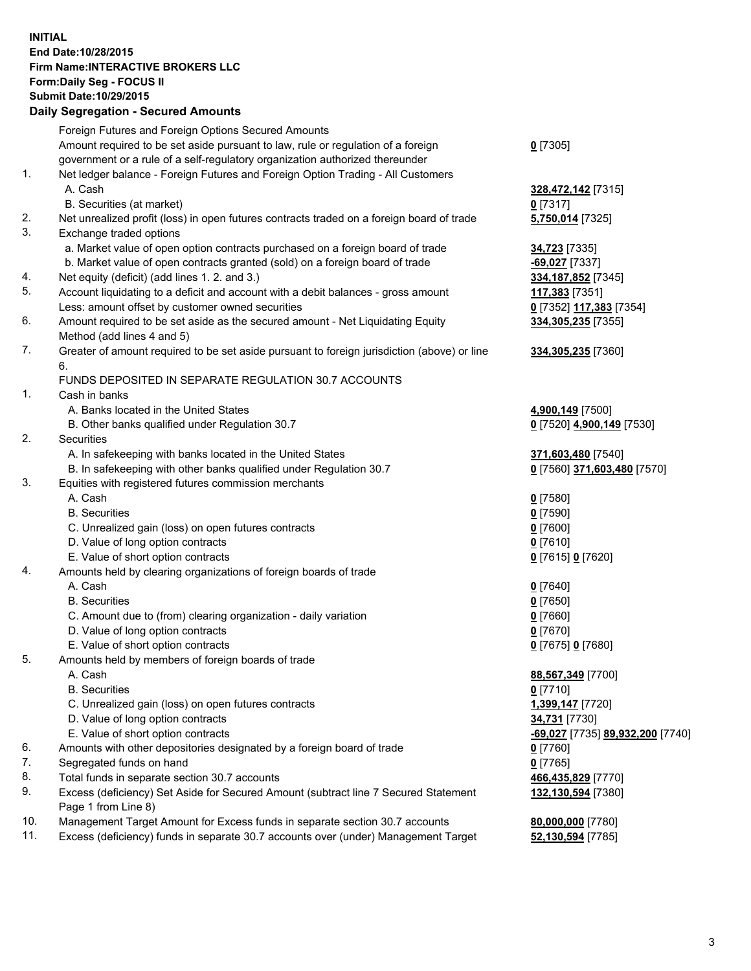## **INITIAL End Date:10/28/2015 Firm Name:INTERACTIVE BROKERS LLC Form:Daily Seg - FOCUS II Submit Date:10/29/2015 Daily Segregation - Secured Amounts**

|                | Dany Ocgregation - Occurea Aniounts                                                         |                                  |
|----------------|---------------------------------------------------------------------------------------------|----------------------------------|
|                | Foreign Futures and Foreign Options Secured Amounts                                         |                                  |
|                | Amount required to be set aside pursuant to law, rule or regulation of a foreign            | $0$ [7305]                       |
|                | government or a rule of a self-regulatory organization authorized thereunder                |                                  |
| 1.             | Net ledger balance - Foreign Futures and Foreign Option Trading - All Customers             |                                  |
|                | A. Cash                                                                                     | 328,472,142 [7315]               |
|                | B. Securities (at market)                                                                   | $0$ [7317]                       |
| 2.             | Net unrealized profit (loss) in open futures contracts traded on a foreign board of trade   | 5,750,014 [7325]                 |
| 3.             | Exchange traded options                                                                     |                                  |
|                | a. Market value of open option contracts purchased on a foreign board of trade              | <b>34,723</b> [7335]             |
|                | b. Market value of open contracts granted (sold) on a foreign board of trade                | $-69,027$ [7337]                 |
| 4.             | Net equity (deficit) (add lines 1.2. and 3.)                                                | 334, 187, 852 [7345]             |
| 5.             | Account liquidating to a deficit and account with a debit balances - gross amount           | 117,383 [7351]                   |
|                | Less: amount offset by customer owned securities                                            | 0 [7352] 117,383 [7354]          |
| 6.             | Amount required to be set aside as the secured amount - Net Liquidating Equity              | 334,305,235 [7355]               |
|                | Method (add lines 4 and 5)                                                                  |                                  |
| 7.             | Greater of amount required to be set aside pursuant to foreign jurisdiction (above) or line | 334,305,235 [7360]               |
|                | 6.                                                                                          |                                  |
|                | FUNDS DEPOSITED IN SEPARATE REGULATION 30.7 ACCOUNTS                                        |                                  |
| $\mathbf{1}$ . | Cash in banks                                                                               |                                  |
|                | A. Banks located in the United States                                                       | 4,900,149 [7500]                 |
|                | B. Other banks qualified under Regulation 30.7                                              | 0 [7520] 4,900,149 [7530]        |
| 2.             | Securities                                                                                  |                                  |
|                | A. In safekeeping with banks located in the United States                                   | 371,603,480 [7540]               |
|                | B. In safekeeping with other banks qualified under Regulation 30.7                          | 0 [7560] 371,603,480 [7570]      |
| 3.             | Equities with registered futures commission merchants                                       |                                  |
|                | A. Cash                                                                                     | $0$ [7580]                       |
|                | <b>B.</b> Securities                                                                        | $0$ [7590]                       |
|                | C. Unrealized gain (loss) on open futures contracts                                         | $0$ [7600]                       |
|                | D. Value of long option contracts                                                           | $0$ [7610]                       |
|                | E. Value of short option contracts                                                          | 0 [7615] 0 [7620]                |
| 4.             | Amounts held by clearing organizations of foreign boards of trade                           |                                  |
|                | A. Cash                                                                                     | $0$ [7640]                       |
|                | <b>B.</b> Securities<br>C. Amount due to (from) clearing organization - daily variation     | $0$ [7650]                       |
|                | D. Value of long option contracts                                                           | $0$ [7660]<br>$0$ [7670]         |
|                | E. Value of short option contracts                                                          |                                  |
| 5.             | Amounts held by members of foreign boards of trade                                          | 0 [7675] 0 [7680]                |
|                | A. Cash                                                                                     | 88,567,349 [7700]                |
|                | <b>B.</b> Securities                                                                        | $0$ [7710]                       |
|                | C. Unrealized gain (loss) on open futures contracts                                         | 1,399,147 [7720]                 |
|                | D. Value of long option contracts                                                           | 34,731 [7730]                    |
|                | E. Value of short option contracts                                                          | -69,027 [7735] 89,932,200 [7740] |
| 6.             | Amounts with other depositories designated by a foreign board of trade                      | 0 [7760]                         |
| 7.             | Segregated funds on hand                                                                    | $0$ [7765]                       |
| 8.             | Total funds in separate section 30.7 accounts                                               | 466,435,829 [7770]               |
| 9.             | Excess (deficiency) Set Aside for Secured Amount (subtract line 7 Secured Statement         | 132,130,594 [7380]               |
|                | Page 1 from Line 8)                                                                         |                                  |
| 10.            | Management Target Amount for Excess funds in separate section 30.7 accounts                 | 80,000,000 [7780]                |
| 11.            | Excess (deficiency) funds in separate 30.7 accounts over (under) Management Target          | 52,130,594 [7785]                |
|                |                                                                                             |                                  |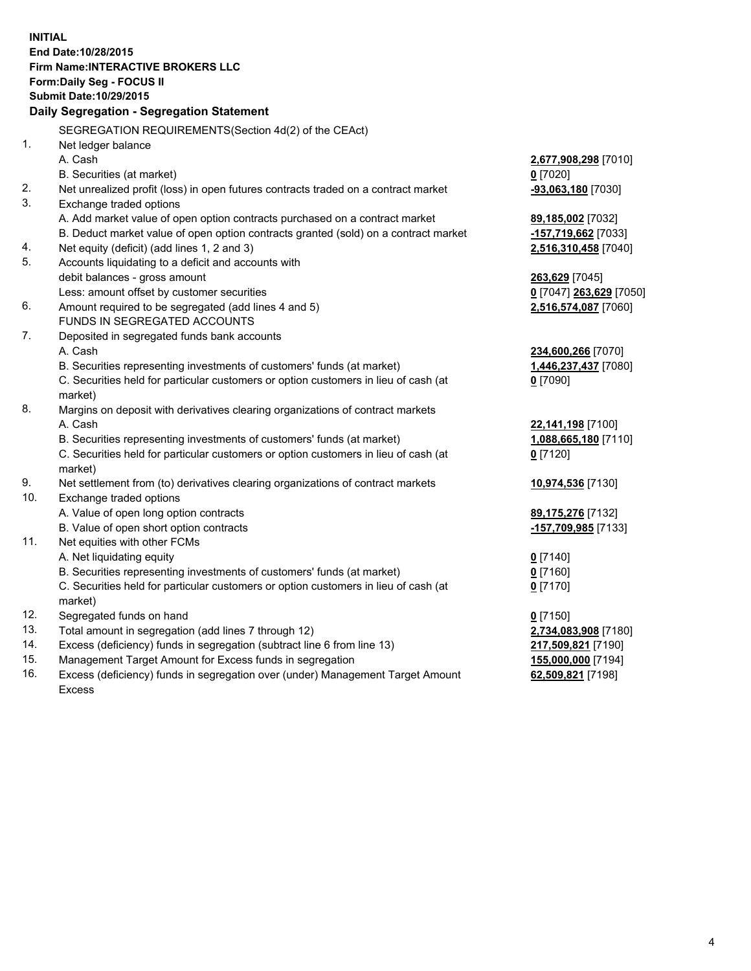**INITIAL End Date:10/28/2015 Firm Name:INTERACTIVE BROKERS LLC Form:Daily Seg - FOCUS II Submit Date:10/29/2015 Daily Segregation - Segregation Statement** SEGREGATION REQUIREMENTS(Section 4d(2) of the CEAct) 1. Net ledger balance A. Cash **2,677,908,298** [7010] B. Securities (at market) **0** [7020] 2. Net unrealized profit (loss) in open futures contracts traded on a contract market **-93,063,180** [7030] 3. Exchange traded options A. Add market value of open option contracts purchased on a contract market **89,185,002** [7032] B. Deduct market value of open option contracts granted (sold) on a contract market **-157,719,662** [7033] 4. Net equity (deficit) (add lines 1, 2 and 3) **2,516,310,458** [7040] 5. Accounts liquidating to a deficit and accounts with debit balances - gross amount **263,629** [7045] Less: amount offset by customer securities **0** [7047] **263,629** [7050] 6. Amount required to be segregated (add lines 4 and 5) **2,516,574,087** [7060] FUNDS IN SEGREGATED ACCOUNTS 7. Deposited in segregated funds bank accounts A. Cash **234,600,266** [7070] B. Securities representing investments of customers' funds (at market) **1,446,237,437** [7080] C. Securities held for particular customers or option customers in lieu of cash (at market) **0** [7090] 8. Margins on deposit with derivatives clearing organizations of contract markets A. Cash **22,141,198** [7100] B. Securities representing investments of customers' funds (at market) **1,088,665,180** [7110] C. Securities held for particular customers or option customers in lieu of cash (at market) **0** [7120] 9. Net settlement from (to) derivatives clearing organizations of contract markets **10,974,536** [7130] 10. Exchange traded options A. Value of open long option contracts **89,175,276** [7132] B. Value of open short option contracts **-157,709,985** [7133] 11. Net equities with other FCMs A. Net liquidating equity **0** [7140] B. Securities representing investments of customers' funds (at market) **0** [7160] C. Securities held for particular customers or option customers in lieu of cash (at market) **0** [7170] 12. Segregated funds on hand **0** [7150] 13. Total amount in segregation (add lines 7 through 12) **2,734,083,908** [7180] 14. Excess (deficiency) funds in segregation (subtract line 6 from line 13) **217,509,821** [7190] 15. Management Target Amount for Excess funds in segregation **155,000,000** [7194] **62,509,821** [7198]

16. Excess (deficiency) funds in segregation over (under) Management Target Amount Excess